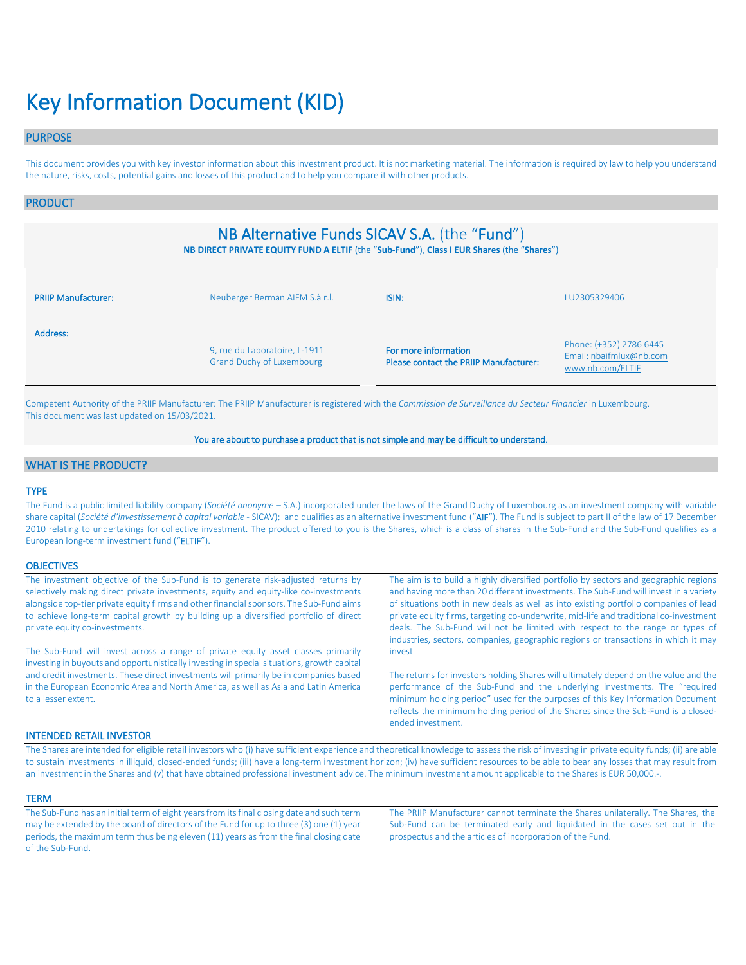# Key Information Document (KID)

# PURPOSE

This document provides you with key investor information about this investment product. It is not marketing material. The information is required by law to help you understand the nature, risks, costs, potential gains and losses of this product and to help you compare it with other products.

### PRODUCT

# NB Alternative Funds SICAV S.A. (the "Fund")

**NB DIRECT PRIVATE EQUITY FUND A ELTIF** (the "**Sub-Fund**"), **Class I EUR Shares** (the "**Shares**")

| <b>PRIIP Manufacturer:</b> | Neuberger Berman AIFM S.à r.l.                                    | ISIN:                                                          | LU2305329406                                                           |
|----------------------------|-------------------------------------------------------------------|----------------------------------------------------------------|------------------------------------------------------------------------|
| Address:                   | 9, rue du Laboratoire, L-1911<br><b>Grand Duchy of Luxembourg</b> | For more information<br>Please contact the PRIIP Manufacturer: | Phone: (+352) 2786 6445<br>Email: nbaifmlux@nb.com<br>www.nb.com/ELTIF |

Competent Authority of the PRIIP Manufacturer: The PRIIP Manufacturer is registered with the *Commission de Surveillance du Secteur Financier* in Luxembourg. This document was last updated on 15/03/2021.

#### You are about to purchase a product that is not simple and may be difficult to understand.

# WHAT IS THE PRODUCT?

#### TYPE

The Fund is a public limited liability company (*Société anonyme* – S.A.) incorporated under the laws of the Grand Duchy of Luxembourg as an investment company with variable share capital (*Société d'investissement à capital variable* - SICAV); and qualifies as an alternative investment fund ("AIF"). The Fund is subject to part II of the law of 17 December 2010 relating to undertakings for collective investment. The product offered to you is the Shares, which is a class of shares in the Sub-Fund and the Sub-Fund qualifies as a European long-term investment fund ("ELTIF").

#### **OBJECTIVES**

| The investment objective of the Sub-Fund is to generate risk-adjusted returns by<br>selectively making direct private investments, equity and equity-like co-investments                           | The aim is to build a highly diversified portfolio by sectors and geographic regions<br>and having more than 20 different investments. The Sub-Fund will invest in a variety                                                                                                                                                                                  |
|----------------------------------------------------------------------------------------------------------------------------------------------------------------------------------------------------|---------------------------------------------------------------------------------------------------------------------------------------------------------------------------------------------------------------------------------------------------------------------------------------------------------------------------------------------------------------|
| alongside top-tier private equity firms and other financial sponsors. The Sub-Fund aims                                                                                                            | of situations both in new deals as well as into existing portfolio companies of lead                                                                                                                                                                                                                                                                          |
| to achieve long-term capital growth by building up a diversified portfolio of direct<br>private equity co-investments.                                                                             | private equity firms, targeting co-underwrite, mid-life and traditional co-investment<br>deals. The Sub-Fund will not be limited with respect to the range or types of                                                                                                                                                                                        |
|                                                                                                                                                                                                    | industries, sectors, companies, geographic regions or transactions in which it may                                                                                                                                                                                                                                                                            |
| The Sub-Fund will invest across a range of private equity asset classes primarily<br>investing in buyouts and opportunistically investing in special situations, growth capital                    | invest                                                                                                                                                                                                                                                                                                                                                        |
| and credit investments. These direct investments will primarily be in companies based<br>in the European Economic Area and North America, as well as Asia and Latin America<br>to a lesser extent. | The returns for investors holding Shares will ultimately depend on the value and the<br>performance of the Sub-Fund and the underlying investments. The "required<br>minimum holding period" used for the purposes of this Key Information Document<br>reflects the minimum holding period of the Shares since the Sub-Fund is a closed-<br>ended investment. |

#### INTENDED RETAIL INVESTOR

The Shares are intended for eligible retail investors who (i) have sufficient experience and theoretical knowledge to assess the risk of investing in private equity funds; (ii) are able to sustain investments in illiquid, closed-ended funds; (iii) have a long-term investment horizon; (iv) have sufficient resources to be able to bear any losses that may result from an investment in the Shares and (v) that have obtained professional investment advice. The minimum investment amount applicable to the Shares is EUR 50,000.-.

#### **TERM**

The Sub-Fund has an initial term of eight years from its final closing date and such term may be extended by the board of directors of the Fund for up to three (3) one (1) year periods, the maximum term thus being eleven (11) years as from the final closing date of the Sub-Fund.

The PRIIP Manufacturer cannot terminate the Shares unilaterally. The Shares, the Sub-Fund can be terminated early and liquidated in the cases set out in the prospectus and the articles of incorporation of the Fund.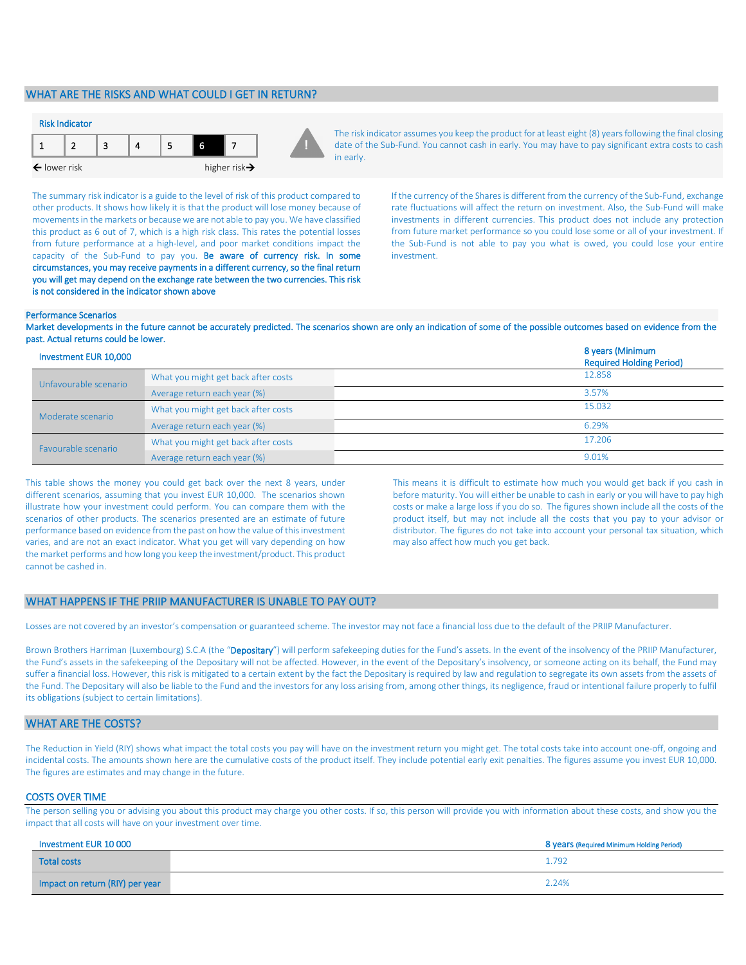# WHAT ARE THE RISKS AND WHAT COULD I GET IN RETURN?



The risk indicator assumes you keep the product for at least eight (8) years following the final closing date of the Sub-Fund. You cannot cash in early. You may have to pay significant extra costs to cash in early.

The summary risk indicator is a guide to the level of risk of this product compared to other products. It shows how likely it is that the product will lose money because of movements in the markets or because we are not able to pay you. We have classified this product as 6 out of 7, which is a high risk class. This rates the potential losses from future performance at a high-level, and poor market conditions impact the capacity of the Sub-Fund to pay you. Be aware of currency risk. In some circumstances, you may receive payments in a different currency, so the final return you will get may depend on the exchange rate between the two currencies. This risk is not considered in the indicator shown above

If the currency of the Shares is different from the currency of the Sub-Fund, exchange rate fluctuations will affect the return on investment. Also, the Sub-Fund will make investments in different currencies. This product does not include any protection from future market performance so you could lose some or all of your investment. If the Sub-Fund is not able to pay you what is owed, you could lose your entire investment.

#### Performance Scenarios

Market developments in the future cannot be accurately predicted. The scenarios shown are only an indication of some of the possible outcomes based on evidence from the past. Actual returns could be lower.

| Investment EUR 10,000 |                                     | 8 years (Minimum<br><b>Required Holding Period)</b> |
|-----------------------|-------------------------------------|-----------------------------------------------------|
| Unfavourable scenario | What you might get back after costs | 12.858                                              |
|                       | Average return each year (%)        | 3.57%                                               |
| Moderate scenario     | What you might get back after costs | 15.032                                              |
|                       | Average return each year (%)        | 6.29%                                               |
| Favourable scenario   | What you might get back after costs | 17.206                                              |
|                       | Average return each year (%)        | 9.01%                                               |

This table shows the money you could get back over the next 8 years, under different scenarios, assuming that you invest EUR 10,000. The scenarios shown illustrate how your investment could perform. You can compare them with the scenarios of other products. The scenarios presented are an estimate of future performance based on evidence from the past on how the value of this investment varies, and are not an exact indicator. What you get will vary depending on how the market performs and how long you keep the investment/product. This product cannot be cashed in.

This means it is difficult to estimate how much you would get back if you cash in before maturity. You will either be unable to cash in early or you will have to pay high costs or make a large loss if you do so. The figures shown include all the costs of the product itself, but may not include all the costs that you pay to your advisor or distributor. The figures do not take into account your personal tax situation, which may also affect how much you get back.

#### WHAT HAPPENS IF THE PRIIP MANUFACTURER IS UNABLE TO PAY OUT?

Losses are not covered by an investor's compensation or guaranteed scheme. The investor may not face a financial loss due to the default of the PRIIP Manufacturer.

Brown Brothers Harriman (Luxembourg) S.C.A (the "Depositary") will perform safekeeping duties for the Fund's assets. In the event of the insolvency of the PRIIP Manufacturer, the Fund's assets in the safekeeping of the Depositary will not be affected. However, in the event of the Depositary's insolvency, or someone acting on its behalf, the Fund may suffer a financial loss. However, this risk is mitigated to a certain extent by the fact the Depositary is required by law and regulation to segregate its own assets from the assets of the Fund. The Depositary will also be liable to the Fund and the investors for any loss arising from, among other things, its negligence, fraud or intentional failure properly to fulfil its obligations (subject to certain limitations).

# WHAT ARE THE COSTS?

The Reduction in Yield (RIY) shows what impact the total costs you pay will have on the investment return you might get. The total costs take into account one-off, ongoing and incidental costs. The amounts shown here are the cumulative costs of the product itself. They include potential early exit penalties. The figures assume you invest EUR 10,000. The figures are estimates and may change in the future.

#### COSTS OVER TIME

The person selling you or advising you about this product may charge you other costs. If so, this person will provide you with information about these costs, and show you the impact that all costs will have on your investment over time.

| Investment EUR 10 000           | 8 years (Required Minimum Holding Period) |
|---------------------------------|-------------------------------------------|
| <b>Total costs</b>              | 1.792                                     |
| Impact on return (RIY) per year | 2.24%                                     |